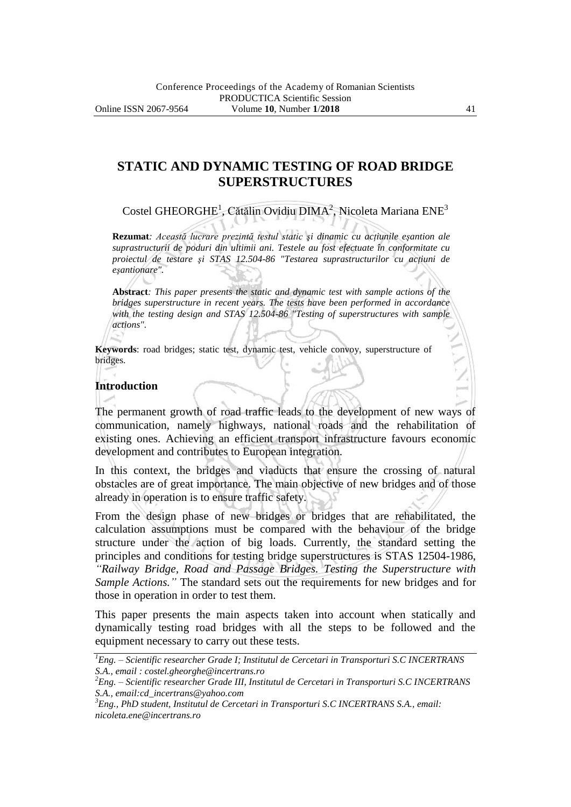# **STATIC AND DYNAMIC TESTING OF ROAD BRIDGE SUPERSTRUCTURES**

Costel GHEORGHE<sup>1</sup>, Cătălin Ovidiu DIMA<sup>2</sup>, Nicoleta Mariana ENE<sup>3</sup>

**Rezumat***: Această lucrare prezintă testul static şi dinamic cu acţiunile eşantion ale suprastructurii de poduri din ultimii ani. Testele au fost efectuate în conformitate cu proiectul de testare şi STAS 12.504-86 "Testarea suprastructurilor cu acţiuni de eşantionare".*

**Abstract***: This paper presents the static and dynamic test with sample actions of the bridges superstructure in recent years. The tests have been performed in accordance with the testing design and STAS 12.504-86 "Testing of superstructures with sample actions".*

**Keywords**: road bridges; static test, dynamic test, vehicle convoy, superstructure of bridges.

## **Introduction**

The permanent growth of road traffic leads to the development of new ways of communication, namely highways, national roads and the rehabilitation of existing ones. Achieving an efficient transport infrastructure favours economic development and contributes to European integration.

In this context, the bridges and viaducts that ensure the crossing of natural obstacles are of great importance. The main objective of new bridges and of those already in operation is to ensure traffic safety.

From the design phase of new bridges or bridges that are rehabilitated, the calculation assumptions must be compared with the behaviour of the bridge structure under the action of big loads. Currently, the standard setting the principles and conditions for testing bridge superstructures is STAS 12504-1986, *"Railway Bridge, Road and Passage Bridges. Testing the Superstructure with Sample Actions."* The standard sets out the requirements for new bridges and for those in operation in order to test them.

This paper presents the main aspects taken into account when statically and dynamically testing road bridges with all the steps to be followed and the equipment necessary to carry out these tests.

*<sup>1</sup>Eng. – Scientific researcher Grade I; Institutul de Cercetari in Transporturi S.C INCERTRANS S.A., email : costel.gheorghe@incertrans.ro*

*<sup>2</sup>Eng. – Scientific researcher Grade III, Institutul de Cercetari in Transporturi S.C INCERTRANS S.A., email:cd\_incertrans@yahoo.com*

*<sup>3</sup>Eng., PhD student, Institutul de Cercetari in Transporturi S.C INCERTRANS S.A., email: nicoleta.ene@incertrans.ro*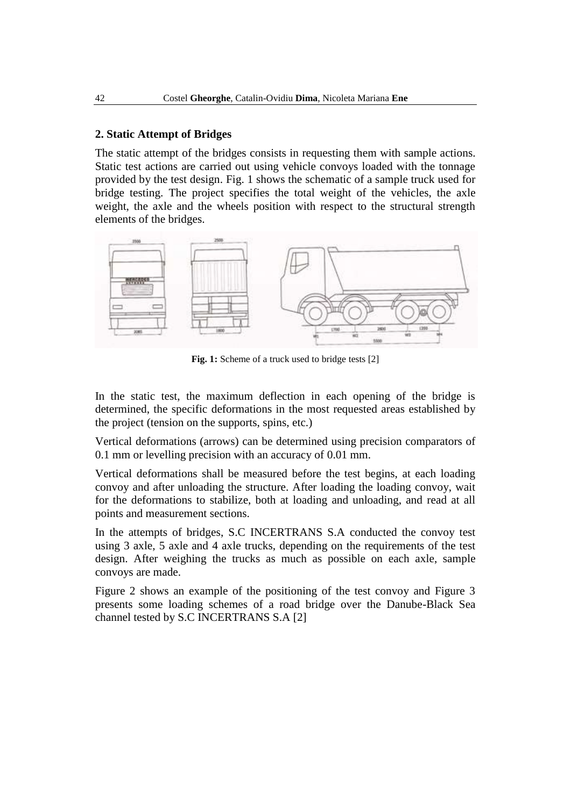## **2. Static Attempt of Bridges**

The static attempt of the bridges consists in requesting them with sample actions. Static test actions are carried out using vehicle convoys loaded with the tonnage provided by the test design. Fig. 1 shows the schematic of a sample truck used for bridge testing. The project specifies the total weight of the vehicles, the axle weight, the axle and the wheels position with respect to the structural strength elements of the bridges.



**Fig. 1:** Scheme of a truck used to bridge tests [2]

In the static test, the maximum deflection in each opening of the bridge is determined, the specific deformations in the most requested areas established by the project (tension on the supports, spins, etc.)

Vertical deformations (arrows) can be determined using precision comparators of 0.1 mm or levelling precision with an accuracy of 0.01 mm.

Vertical deformations shall be measured before the test begins, at each loading convoy and after unloading the structure. After loading the loading convoy, wait for the deformations to stabilize, both at loading and unloading, and read at all points and measurement sections.

In the attempts of bridges, S.C INCERTRANS S.A conducted the convoy test using 3 axle, 5 axle and 4 axle trucks, depending on the requirements of the test design. After weighing the trucks as much as possible on each axle, sample convoys are made.

Figure 2 shows an example of the positioning of the test convoy and Figure 3 presents some loading schemes of a road bridge over the Danube-Black Sea channel tested by S.C INCERTRANS S.A [2]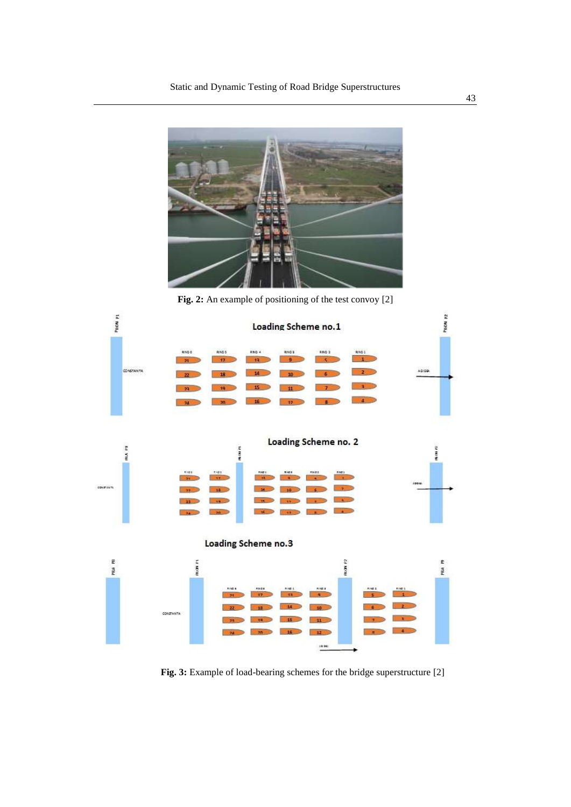

**Fig. 2:** An example of positioning of the test convoy [2]



**Fig. 3:** Example of load-bearing schemes for the bridge superstructure [2]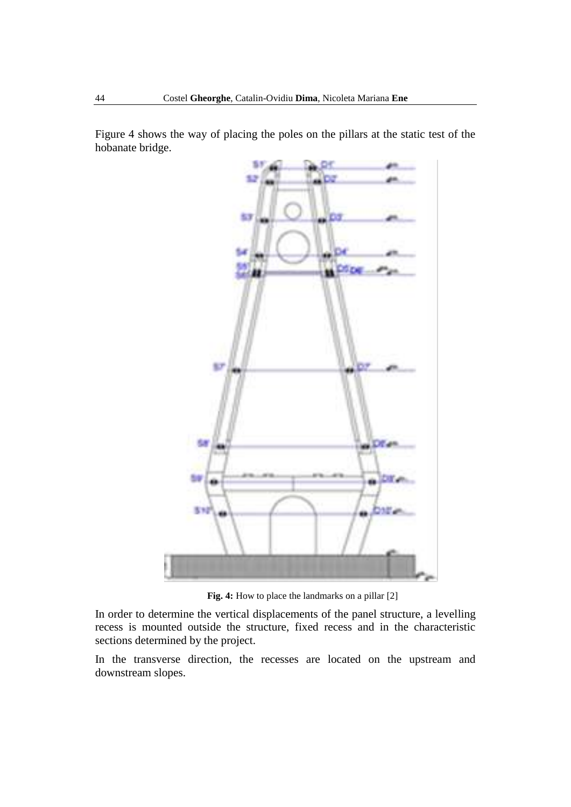Figure 4 shows the way of placing the poles on the pillars at the static test of the hobanate bridge.



**Fig. 4:** How to place the landmarks on a pillar [2]

In order to determine the vertical displacements of the panel structure, a levelling recess is mounted outside the structure, fixed recess and in the characteristic sections determined by the project.

In the transverse direction, the recesses are located on the upstream and downstream slopes.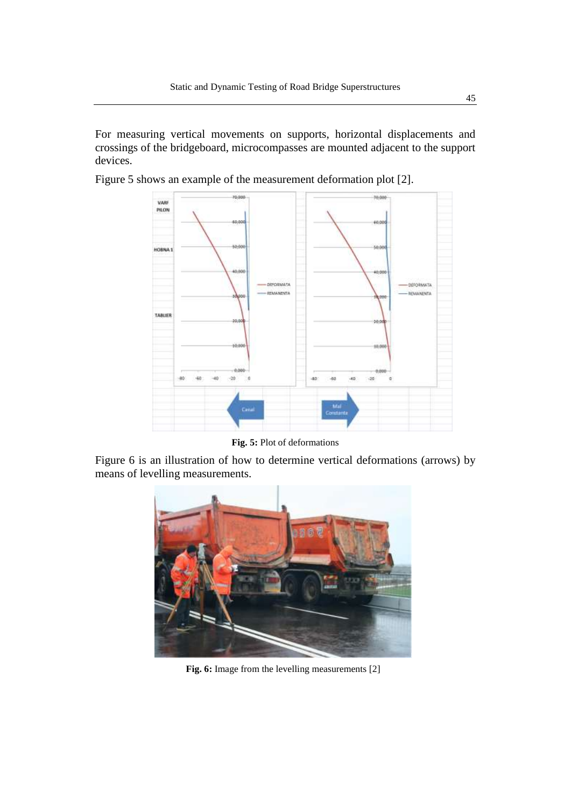For measuring vertical movements on supports, horizontal displacements and crossings of the bridgeboard, microcompasses are mounted adjacent to the support devices.

Figure 5 shows an example of the measurement deformation plot [2].



**Fig. 5:** Plot of deformations

Figure 6 is an illustration of how to determine vertical deformations (arrows) by means of levelling measurements.



**Fig. 6:** Image from the levelling measurements [2]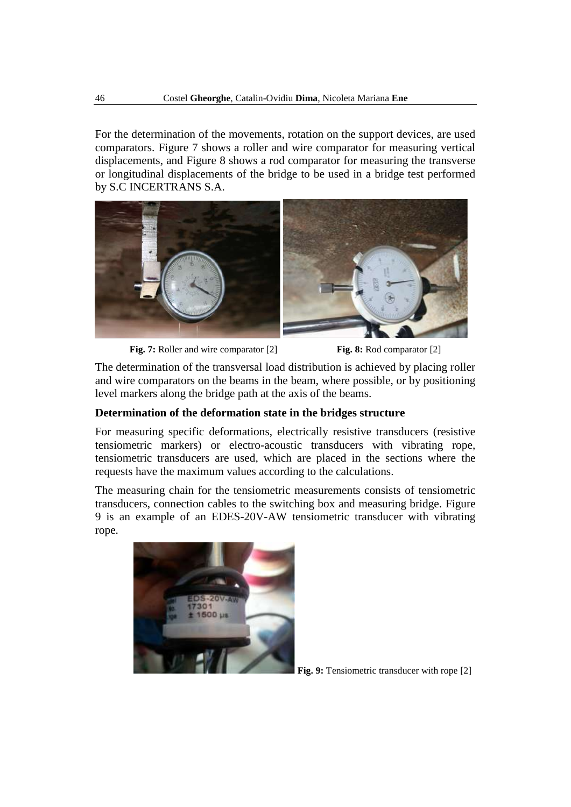For the determination of the movements, rotation on the support devices, are used comparators. Figure 7 shows a roller and wire comparator for measuring vertical displacements, and Figure 8 shows a rod comparator for measuring the transverse or longitudinal displacements of the bridge to be used in a bridge test performed by S.C INCERTRANS S.A.



**Fig. 7:** Roller and wire comparator [2] **Fig. 8:** Rod comparator [2]

The determination of the transversal load distribution is achieved by placing roller and wire comparators on the beams in the beam, where possible, or by positioning level markers along the bridge path at the axis of the beams.

## **Determination of the deformation state in the bridges structure**

For measuring specific deformations, electrically resistive transducers (resistive tensiometric markers) or electro-acoustic transducers with vibrating rope, tensiometric transducers are used, which are placed in the sections where the requests have the maximum values according to the calculations.

The measuring chain for the tensiometric measurements consists of tensiometric transducers, connection cables to the switching box and measuring bridge. Figure 9 is an example of an EDES-20V-AW tensiometric transducer with vibrating rope.



**Fig. 9:** Tensiometric transducer with rope [2]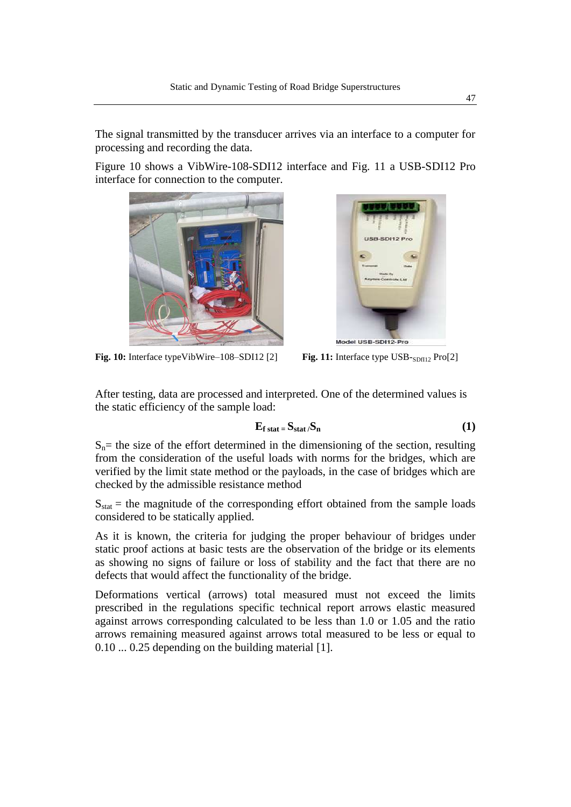The signal transmitted by the transducer arrives via an interface to a computer for processing and recording the data.

Figure 10 shows a VibWire-108-SDI12 interface and Fig. 11 a USB-SDI12 Pro interface for connection to the computer.





**Fig. 10:** Interface typeVibWire–108–SDI12 [2] **Fig. 11:** Interface type USB-<sub>SDfI12</sub> Pro[2]

After testing, data are processed and interpreted. One of the determined values is the static efficiency of the sample load:

$$
E_{f\,stat} = S_{stat}/S_n \tag{1}
$$

 $S_n$ = the size of the effort determined in the dimensioning of the section, resulting from the consideration of the useful loads with norms for the bridges, which are verified by the limit state method or the payloads, in the case of bridges which are checked by the admissible resistance method

 $S_{stat}$  = the magnitude of the corresponding effort obtained from the sample loads considered to be statically applied.

As it is known, the criteria for judging the proper behaviour of bridges under static proof actions at basic tests are the observation of the bridge or its elements as showing no signs of failure or loss of stability and the fact that there are no defects that would affect the functionality of the bridge.

Deformations vertical (arrows) total measured must not exceed the limits prescribed in the regulations specific technical report arrows elastic measured against arrows corresponding calculated to be less than 1.0 or 1.05 and the ratio arrows remaining measured against arrows total measured to be less or equal to 0.10 ... 0.25 depending on the building material [1].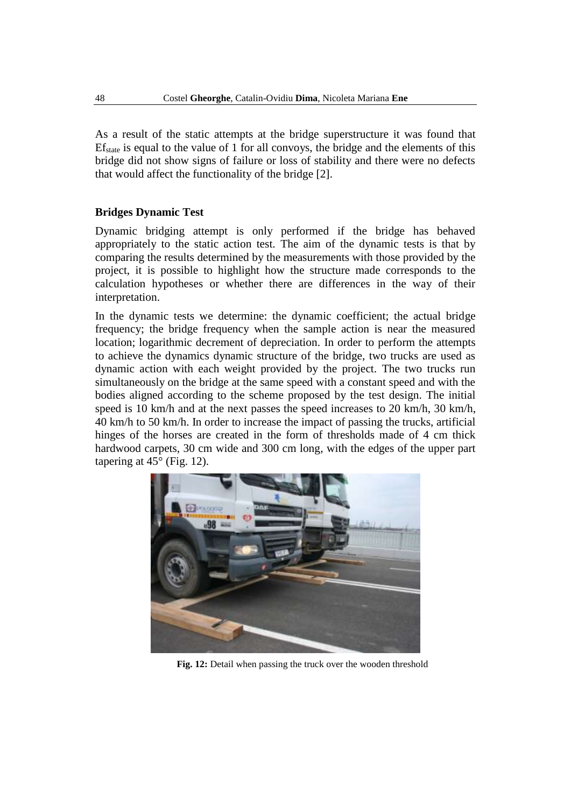As a result of the static attempts at the bridge superstructure it was found that  $E_{\text{state}}$  is equal to the value of 1 for all convoys, the bridge and the elements of this bridge did not show signs of failure or loss of stability and there were no defects that would affect the functionality of the bridge [2].

#### **Bridges Dynamic Test**

Dynamic bridging attempt is only performed if the bridge has behaved appropriately to the static action test. The aim of the dynamic tests is that by comparing the results determined by the measurements with those provided by the project, it is possible to highlight how the structure made corresponds to the calculation hypotheses or whether there are differences in the way of their interpretation.

In the dynamic tests we determine: the dynamic coefficient; the actual bridge frequency; the bridge frequency when the sample action is near the measured location; logarithmic decrement of depreciation. In order to perform the attempts to achieve the dynamics dynamic structure of the bridge, two trucks are used as dynamic action with each weight provided by the project. The two trucks run simultaneously on the bridge at the same speed with a constant speed and with the bodies aligned according to the scheme proposed by the test design. The initial speed is 10 km/h and at the next passes the speed increases to 20 km/h, 30 km/h, 40 km/h to 50 km/h. In order to increase the impact of passing the trucks, artificial hinges of the horses are created in the form of thresholds made of 4 cm thick hardwood carpets, 30 cm wide and 300 cm long, with the edges of the upper part tapering at  $45^{\circ}$  (Fig. 12).



**Fig. 12:** Detail when passing the truck over the wooden threshold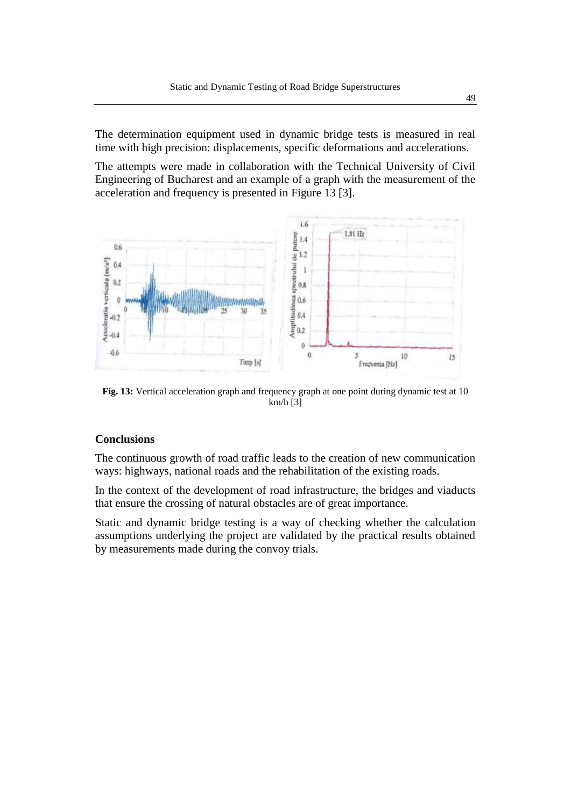The determination equipment used in dynamic bridge tests is measured in real time with high precision: displacements, specific deformations and accelerations.

The attempts were made in collaboration with the Technical University of Civil Engineering of Bucharest and an example of a graph with the measurement of the acceleration and frequency is presented in Figure 13 [3].



**Fig. 13:** Vertical acceleration graph and frequency graph at one point during dynamic test at 10 km/h [3]

# **Conclusions**

The continuous growth of road traffic leads to the creation of new communication ways: highways, national roads and the rehabilitation of the existing roads.

In the context of the development of road infrastructure, the bridges and viaducts that ensure the crossing of natural obstacles are of great importance.

Static and dynamic bridge testing is a way of checking whether the calculation assumptions underlying the project are validated by the practical results obtained by measurements made during the convoy trials.